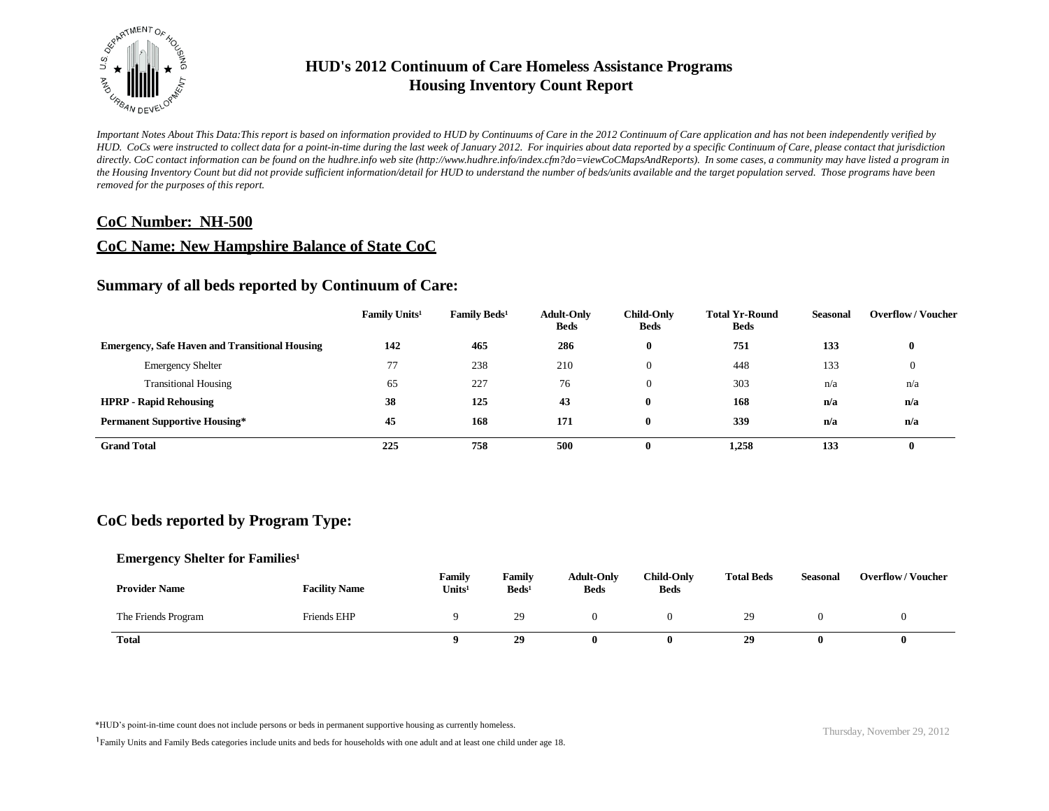

*Important Notes About This Data:This report is based on information provided to HUD by Continuums of Care in the 2012 Continuum of Care application and has not been independently verified by HUD. CoCs were instructed to collect data for a point-in-time during the last week of January 2012. For inquiries about data reported by a specific Continuum of Care, please contact that jurisdiction*  directly. CoC contact information can be found on the hudhre.info web site (http://www.hudhre.info/index.cfm?do=viewCoCMapsAndReports). In some cases, a community may have listed a program in *the Housing Inventory Count but did not provide sufficient information/detail for HUD to understand the number of beds/units available and the target population served. Those programs have been removed for the purposes of this report.*

### **CoC Number: NH-500**

### **CoC Name: New Hampshire Balance of State CoC**

### **Summary of all beds reported by Continuum of Care:**

|                                                       | Family Units <sup>1</sup> | Family Beds <sup>1</sup> | <b>Adult-Only</b><br><b>Beds</b> | Child-Only<br><b>Beds</b> | <b>Total Yr-Round</b><br><b>Beds</b> | <b>Seasonal</b> | <b>Overflow / Voucher</b> |
|-------------------------------------------------------|---------------------------|--------------------------|----------------------------------|---------------------------|--------------------------------------|-----------------|---------------------------|
| <b>Emergency, Safe Haven and Transitional Housing</b> | 142                       | 465                      | 286                              | $\mathbf{0}$              | 751                                  | 133             | $\bf{0}$                  |
| <b>Emergency Shelter</b>                              |                           | 238                      | 210                              | $\Omega$                  | 448                                  | 133             |                           |
| <b>Transitional Housing</b>                           | 65                        | 227                      | 76                               | $\Omega$                  | 303                                  | n/a             | n/a                       |
| <b>HPRP - Rapid Rehousing</b>                         | 38                        | 125                      | 43                               | 0                         | 168                                  | n/a             | n/a                       |
| <b>Permanent Supportive Housing*</b>                  | 45                        | 168                      | 171                              | 0                         | 339                                  | n/a             | n/a                       |
| <b>Grand Total</b>                                    | 225                       | 758                      | 500                              | 0                         | 1,258                                | 133             | $\bf{0}$                  |

### **CoC beds reported by Program Type:**

### **Emergency Shelter for Families<sup>1</sup>**

| <b>Provider Name</b> | <b>Facility Name</b> | Family<br>Units <sup>1</sup> | Family<br>Beds <sup>1</sup> | <b>Adult-Only</b><br><b>Beds</b> | <b>Child-Only</b><br><b>Beds</b> | <b>Total Beds</b> | <b>Seasonal</b> | <b>Overflow/Voucher</b> |
|----------------------|----------------------|------------------------------|-----------------------------|----------------------------------|----------------------------------|-------------------|-----------------|-------------------------|
| The Friends Program  | Friends EHP          |                              | 29                          |                                  |                                  | 29                |                 |                         |
| Total                |                      |                              | 29                          |                                  |                                  | 29                |                 |                         |

\*HUD's point-in-time count does not include persons or beds in permanent supportive housing as currently homeless.<br>
Thursday, November 29, 2012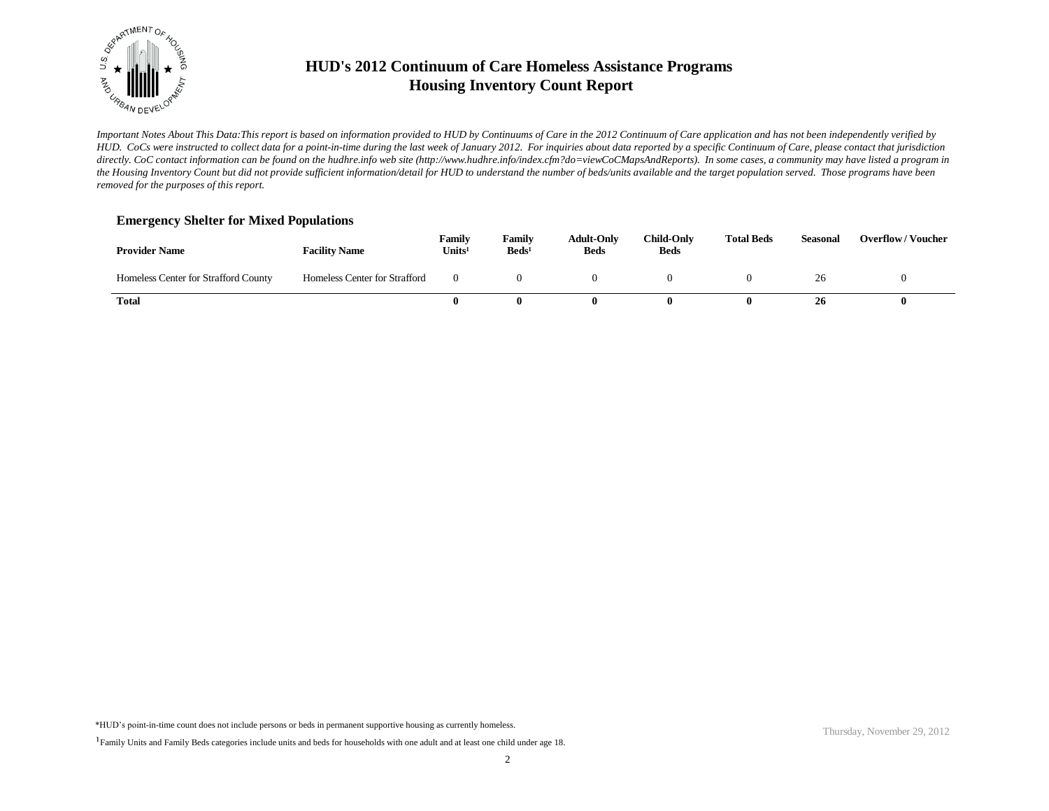

*Important Notes About This Data:This report is based on information provided to HUD by Continuums of Care in the 2012 Continuum of Care application and has not been independently verified by HUD. CoCs were instructed to collect data for a point-in-time during the last week of January 2012. For inquiries about data reported by a specific Continuum of Care, please contact that jurisdiction*  directly. CoC contact information can be found on the hudhre.info web site (http://www.hudhre.info/index.cfm?do=viewCoCMapsAndReports). In some cases, a community may have listed a program in *the Housing Inventory Count but did not provide sufficient information/detail for HUD to understand the number of beds/units available and the target population served. Those programs have been removed for the purposes of this report.*

### **Emergency Shelter for Mixed Populations**

| <b>Provider Name</b>                 | <b>Facility Name</b>          | Family<br>Units <sup>1</sup> | Family<br>Beds <sup>1</sup> | <b>Adult-Only</b><br><b>Beds</b> | <b>Child-Only</b><br><b>Beds</b> | <b>Total Beds</b> | <b>Seasonal</b> | <b>Overflow/Voucher</b> |
|--------------------------------------|-------------------------------|------------------------------|-----------------------------|----------------------------------|----------------------------------|-------------------|-----------------|-------------------------|
| Homeless Center for Strafford County | Homeless Center for Strafford |                              |                             |                                  |                                  |                   |                 |                         |
| Total                                |                               | o                            | 0                           |                                  |                                  |                   | 26              |                         |

\*HUD's point-in-time count does not include persons or beds in permanent supportive housing as currently homeless.

<sup>&</sup>lt;sup>1</sup>Family Units and Family Beds categories include units and beds for households with one adult and at least one child under age 18.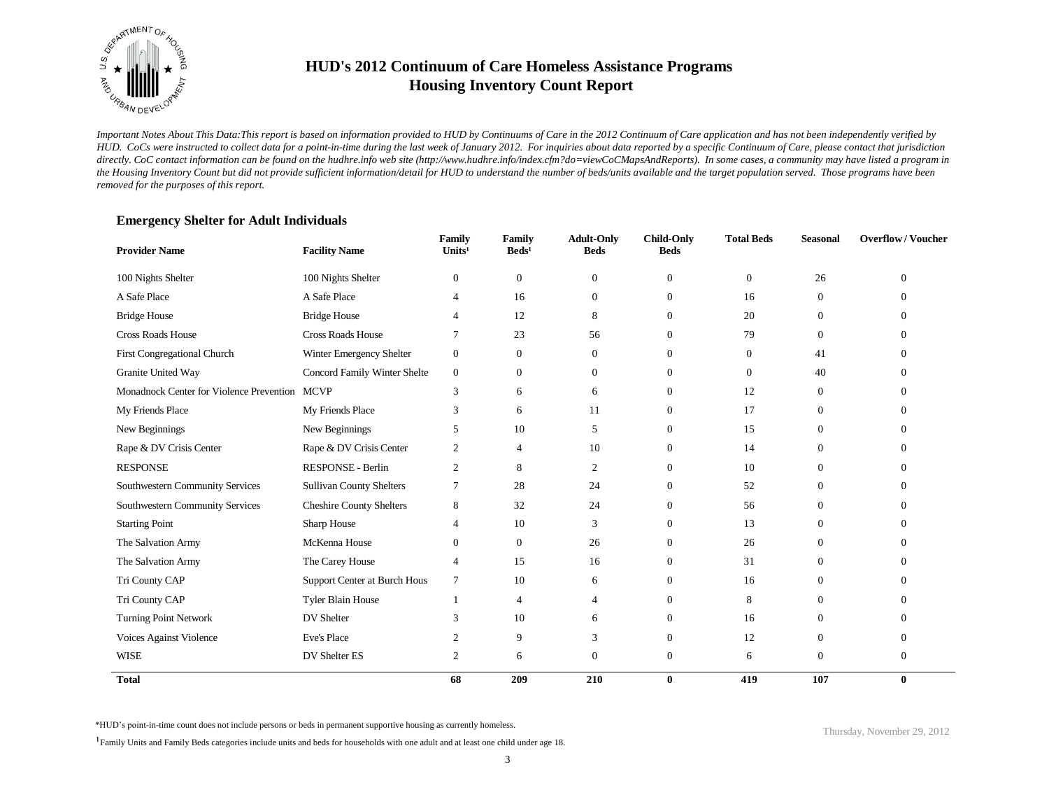

*Important Notes About This Data:This report is based on information provided to HUD by Continuums of Care in the 2012 Continuum of Care application and has not been independently verified by HUD. CoCs were instructed to collect data for a point-in-time during the last week of January 2012. For inquiries about data reported by a specific Continuum of Care, please contact that jurisdiction*  directly. CoC contact information can be found on the hudhre.info web site (http://www.hudhre.info/index.cfm?do=viewCoCMapsAndReports). In some cases, a community may have listed a program in *the Housing Inventory Count but did not provide sufficient information/detail for HUD to understand the number of beds/units available and the target population served. Those programs have been removed for the purposes of this report.*

| <b>Provider Name</b>                          | <b>Facility Name</b>            | Family<br>Units <sup>1</sup> | Family<br>$\text{Beds}^1$ | <b>Adult-Only</b><br><b>Beds</b> | <b>Child-Only</b><br><b>Beds</b> | <b>Total Beds</b> | <b>Seasonal</b> | <b>Overflow/Voucher</b> |
|-----------------------------------------------|---------------------------------|------------------------------|---------------------------|----------------------------------|----------------------------------|-------------------|-----------------|-------------------------|
| 100 Nights Shelter                            | 100 Nights Shelter              | $\mathbf{0}$                 | $\boldsymbol{0}$          | $\theta$                         | $\mathbf{0}$                     | $\mathbf{0}$      | 26              | $\Omega$                |
| A Safe Place                                  | A Safe Place                    | 4                            | 16                        | $\overline{0}$                   | $\mathbf{0}$                     | 16                | $\theta$        | ∩                       |
| <b>Bridge House</b>                           | <b>Bridge House</b>             | $\overline{4}$               | 12                        | 8                                | $\Omega$                         | 20                | $\Omega$        | 0                       |
| <b>Cross Roads House</b>                      | Cross Roads House               |                              | 23                        | 56                               | $\mathbf{0}$                     | 79                | $\theta$        | 0                       |
| First Congregational Church                   | Winter Emergency Shelter        | $\mathbf{0}$                 | $\mathbf{0}$              | $\overline{0}$                   | $\mathbf{0}$                     | $\mathbf{0}$      | 41              | 0                       |
| Granite United Way                            | Concord Family Winter Shelte    | $\mathbf{0}$                 | $\mathbf{0}$              | $\Omega$                         | $\Omega$                         | $\Omega$          | 40              | 0                       |
| Monadnock Center for Violence Prevention MCVP |                                 | 3                            | 6                         | 6                                | $\mathbf{0}$                     | 12                | $\Omega$        | ∩                       |
| My Friends Place                              | My Friends Place                | 3                            | 6                         | 11                               | $\mathbf{0}$                     | 17                | $\Omega$        | 0                       |
| New Beginnings                                | New Beginnings                  | 5                            | 10                        | 5                                | $\mathbf{0}$                     | 15                | $\theta$        | 0                       |
| Rape & DV Crisis Center                       | Rape & DV Crisis Center         | 2                            | 4                         | 10                               | $\mathbf{0}$                     | 14                | $\overline{0}$  | 0                       |
| <b>RESPONSE</b>                               | RESPONSE - Berlin               | 2                            | 8                         | $\overline{c}$                   | $\mathbf{0}$                     | 10                | $\Omega$        | 0                       |
| Southwestern Community Services               | <b>Sullivan County Shelters</b> | 7                            | 28                        | 24                               | $\Omega$                         | 52                | $\Omega$        |                         |
| Southwestern Community Services               | <b>Cheshire County Shelters</b> | 8                            | 32                        | 24                               | $\mathbf{0}$                     | 56                | $\theta$        | 0                       |
| <b>Starting Point</b>                         | Sharp House                     | $\overline{4}$               | 10                        | 3                                | $\Omega$                         | 13                | $\Omega$        | ∩                       |
| The Salvation Army                            | McKenna House                   | $\overline{0}$               | $\mathbf{0}$              | 26                               | $\mathbf{0}$                     | 26                | $\Omega$        | $\Omega$                |
| The Salvation Army                            | The Carey House                 | 4                            | 15                        | 16                               | $\mathbf{0}$                     | 31                | $\Omega$        | ∩                       |
| Tri County CAP                                | Support Center at Burch Hous    | 7                            | 10                        | 6                                | $\mathbf{0}$                     | 16                | $\Omega$        | 0                       |
| Tri County CAP                                | <b>Tyler Blain House</b>        | 1                            | 4                         | 4                                | $\mathbf{0}$                     | 8                 | $\Omega$        | 0                       |
| <b>Turning Point Network</b>                  | DV Shelter                      | 3                            | 10                        | 6                                | $\mathbf{0}$                     | 16                | $\Omega$        | $\Omega$                |
| Voices Against Violence                       | <b>Eve's Place</b>              | 2                            | 9                         | 3                                | $\mathbf{0}$                     | 12                | $\overline{0}$  | $\Omega$                |
| <b>WISE</b>                                   | DV Shelter ES                   | 2                            | 6                         | $\theta$                         | $\mathbf{0}$                     | 6                 | $\overline{0}$  | $\mathbf{0}$            |
| <b>Total</b>                                  |                                 | 68                           | 209                       | 210                              | $\bf{0}$                         | 419               | 107             | $\bf{0}$                |

### **Emergency Shelter for Adult Individuals**

\*HUD's point-in-time count does not include persons or beds in permanent supportive housing as currently homeless.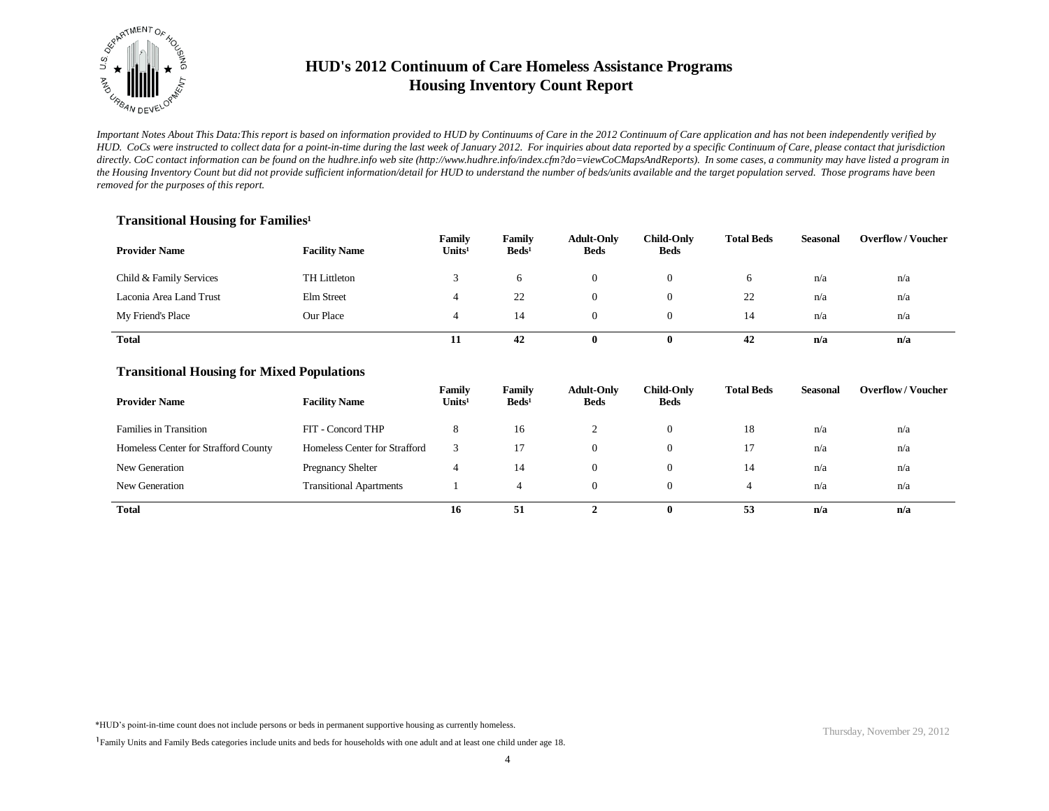

*Important Notes About This Data:This report is based on information provided to HUD by Continuums of Care in the 2012 Continuum of Care application and has not been independently verified by HUD. CoCs were instructed to collect data for a point-in-time during the last week of January 2012. For inquiries about data reported by a specific Continuum of Care, please contact that jurisdiction*  directly. CoC contact information can be found on the hudhre.info web site (http://www.hudhre.info/index.cfm?do=viewCoCMapsAndReports). In some cases, a community may have listed a program in *the Housing Inventory Count but did not provide sufficient information/detail for HUD to understand the number of beds/units available and the target population served. Those programs have been removed for the purposes of this report.*

### **Transitional Housing for Families<sup>1</sup>**

| <b>Provider Name</b>    | <b>Facility Name</b> | Family<br>Units <sup>1</sup> | Family<br>$\text{Beds}^1$ | <b>Adult-Only</b><br><b>Beds</b> | <b>Child-Only</b><br>Beds | <b>Total Beds</b> | <b>Seasonal</b> | <b>Overflow/Voucher</b> |
|-------------------------|----------------------|------------------------------|---------------------------|----------------------------------|---------------------------|-------------------|-----------------|-------------------------|
| Child & Family Services | TH Littleton         |                              | 6                         |                                  |                           | 6                 | n/a             | n/a                     |
| Laconia Area Land Trust | Elm Street           |                              | 22                        |                                  |                           | 22                | n/a             | n/a                     |
| My Friend's Place       | Our Place            |                              | 14                        |                                  |                           | 14                | n/a             | n/a                     |
| <b>Total</b>            |                      | 11                           | 42                        | 0                                |                           | 42                | n/a             | n/a                     |

#### **Transitional Housing for Mixed Populations**

| <b>Provider Name</b>                 | <b>Facility Name</b>           | Family<br>Units <sup>1</sup> | Family<br>$\text{Beds}^1$ | <b>Adult-Only</b><br><b>Beds</b> | Child-Only<br><b>Beds</b> | <b>Total Beds</b> | Seasonal | <b>Overflow/Voucher</b> |
|--------------------------------------|--------------------------------|------------------------------|---------------------------|----------------------------------|---------------------------|-------------------|----------|-------------------------|
| <b>Families in Transition</b>        | FIT - Concord THP              | 8                            | 16                        |                                  | 0                         | 18                | n/a      | n/a                     |
| Homeless Center for Strafford County | Homeless Center for Strafford  |                              | 17                        | $\theta$                         | $\theta$                  | 17                | n/a      | n/a                     |
| New Generation                       | <b>Pregnancy Shelter</b>       |                              | 14                        | $\Omega$                         | $\Omega$                  | 14                | n/a      | n/a                     |
| New Generation                       | <b>Transitional Apartments</b> |                              |                           | $\Omega$                         | $\Omega$                  | 4                 | n/a      | n/a                     |
| <b>Total</b>                         |                                | 16                           | 51                        |                                  | 0                         | 53                | n/a      | n/a                     |

\*HUD's point-in-time count does not include persons or beds in permanent supportive housing as currently homeless.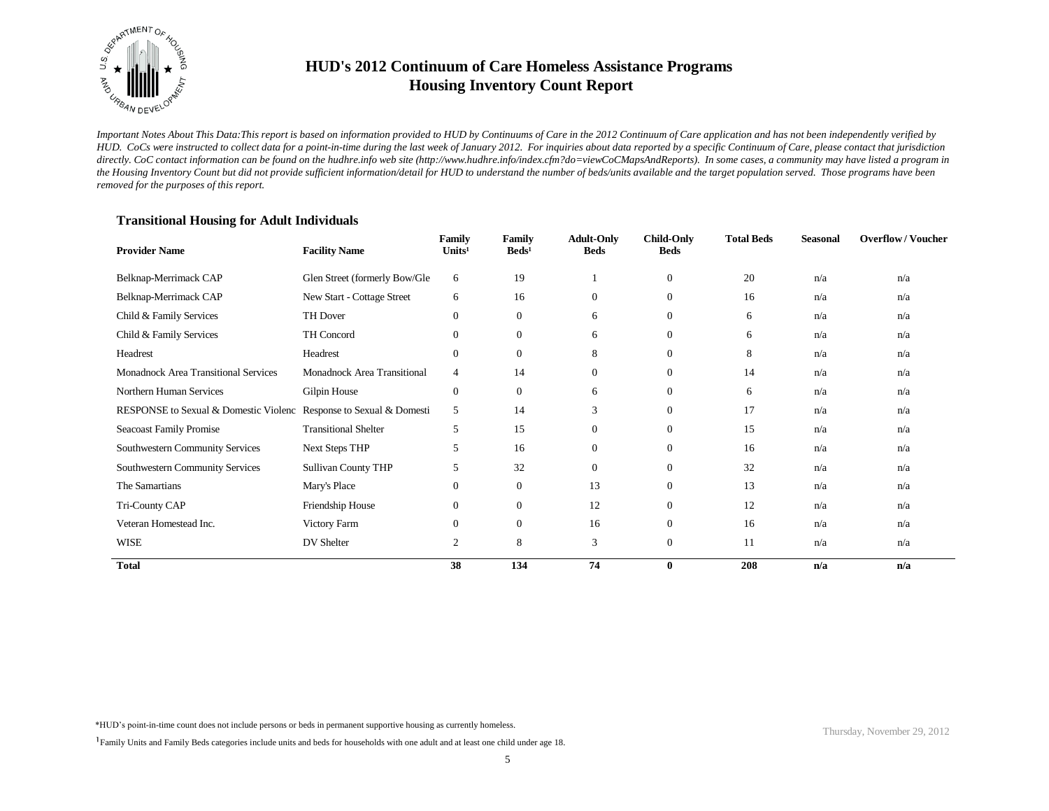

*Important Notes About This Data:This report is based on information provided to HUD by Continuums of Care in the 2012 Continuum of Care application and has not been independently verified by HUD. CoCs were instructed to collect data for a point-in-time during the last week of January 2012. For inquiries about data reported by a specific Continuum of Care, please contact that jurisdiction*  directly. CoC contact information can be found on the hudhre.info web site (http://www.hudhre.info/index.cfm?do=viewCoCMapsAndReports). In some cases, a community may have listed a program in *the Housing Inventory Count but did not provide sufficient information/detail for HUD to understand the number of beds/units available and the target population served. Those programs have been removed for the purposes of this report.*

### **Transitional Housing for Adult Individuals**

| <b>Provider Name</b>                  | <b>Facility Name</b>          | Family<br>Units <sup>1</sup> | Family<br>$\text{Beds}^1$ | <b>Adult-Only</b><br><b>Beds</b> | <b>Child-Only</b><br><b>Beds</b> | <b>Total Beds</b> | <b>Seasonal</b> | <b>Overflow/Voucher</b> |
|---------------------------------------|-------------------------------|------------------------------|---------------------------|----------------------------------|----------------------------------|-------------------|-----------------|-------------------------|
| Belknap-Merrimack CAP                 | Glen Street (formerly Bow/Gle | 6                            | 19                        |                                  | $\mathbf{0}$                     | 20                | n/a             | n/a                     |
| Belknap-Merrimack CAP                 | New Start - Cottage Street    | 6                            | 16                        | $\boldsymbol{0}$                 | $\mathbf{0}$                     | 16                | n/a             | n/a                     |
| Child & Family Services               | TH Dover                      | $\mathbf{0}$                 | $\mathbf{0}$              | 6                                | $\mathbf{0}$                     | 6                 | n/a             | n/a                     |
| Child & Family Services               | TH Concord                    | $\mathbf{0}$                 | $\boldsymbol{0}$          | 6                                | $\mathbf{0}$                     | 6                 | n/a             | n/a                     |
| Headrest                              | Headrest                      | $\mathbf{0}$                 | $\mathbf{0}$              | 8                                | $\mathbf{0}$                     | 8                 | n/a             | n/a                     |
| Monadnock Area Transitional Services  | Monadnock Area Transitional   | $\overline{4}$               | 14                        | $\theta$                         | $\mathbf{0}$                     | 14                | n/a             | n/a                     |
| Northern Human Services               | Gilpin House                  | $\mathbf{0}$                 | $\boldsymbol{0}$          | 6                                | $\mathbf{0}$                     | 6                 | n/a             | n/a                     |
| RESPONSE to Sexual & Domestic Violenc | Response to Sexual & Domesti  | 5                            | 14                        | 3                                | $\mathbf{0}$                     | 17                | n/a             | n/a                     |
| Seacoast Family Promise               | <b>Transitional Shelter</b>   | 5                            | 15                        | $\theta$                         | $\mathbf{0}$                     | 15                | n/a             | n/a                     |
| Southwestern Community Services       | <b>Next Steps THP</b>         | 5                            | 16                        | $\overline{0}$                   | $\mathbf{0}$                     | 16                | n/a             | n/a                     |
| Southwestern Community Services       | <b>Sullivan County THP</b>    | 5                            | 32                        | $\overline{0}$                   | $\overline{0}$                   | 32                | n/a             | n/a                     |
| The Samartians                        | Mary's Place                  | $\mathbf{0}$                 | $\mathbf{0}$              | 13                               | $\theta$                         | 13                | n/a             | n/a                     |
| Tri-County CAP                        | Friendship House              | $\mathbf{0}$                 | $\boldsymbol{0}$          | 12                               | $\mathbf{0}$                     | 12                | n/a             | n/a                     |
| Veteran Homestead Inc.                | Victory Farm                  | $\mathbf{0}$                 | $\mathbf{0}$              | 16                               | $\mathbf{0}$                     | 16                | n/a             | n/a                     |
| <b>WISE</b>                           | DV Shelter                    | 2                            | 8                         | 3                                | $\mathbf{0}$                     | 11                | n/a             | n/a                     |
| <b>Total</b>                          |                               | 38                           | 134                       | 74                               | $\bf{0}$                         | 208               | n/a             | n/a                     |

\*HUD's point-in-time count does not include persons or beds in permanent supportive housing as currently homeless.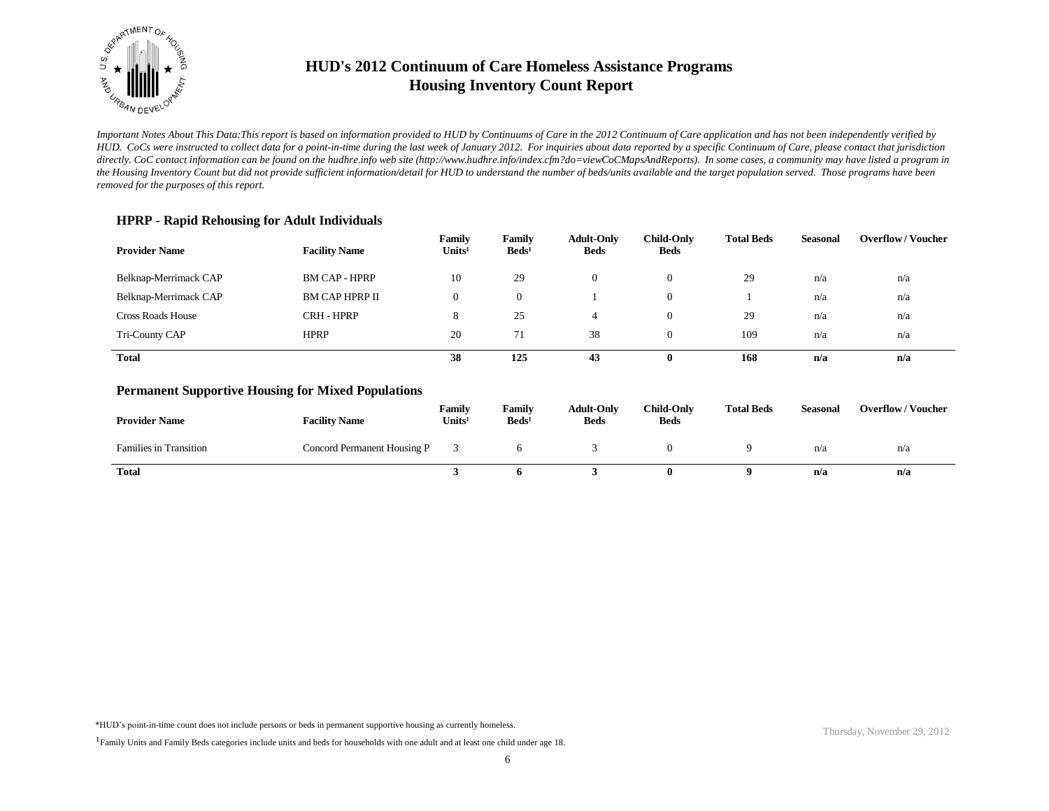

*Important Notes About This Data:This report is based on information provided to HUD by Continuums of Care in the 2012 Continuum of Care application and has not been independently verified by HUD. CoCs were instructed to collect data for a point-in-time during the last week of January 2012. For inquiries about data reported by a specific Continuum of Care, please contact that jurisdiction*  directly. CoC contact information can be found on the hudhre.info web site (http://www.hudhre.info/index.cfm?do=viewCoCMapsAndReports). In some cases, a community may have listed a program in *the Housing Inventory Count but did not provide sufficient information/detail for HUD to understand the number of beds/units available and the target population served. Those programs have been removed for the purposes of this report.*

### **HPRP - Rapid Rehousing for Adult Individuals**

| <b>Provider Name</b>     | <b>Facility Name</b>  | Family<br>Units <sup>1</sup> | Family<br>$\text{Beds}^1$ | <b>Adult-Only</b><br><b>Beds</b> | <b>Child-Only</b><br>Beds | <b>Total Beds</b> | <b>Seasonal</b> | <b>Overflow/Voucher</b> |
|--------------------------|-----------------------|------------------------------|---------------------------|----------------------------------|---------------------------|-------------------|-----------------|-------------------------|
| Belknap-Merrimack CAP    | <b>BM CAP - HPRP</b>  | 10                           | 29                        | 0                                |                           | 29                | n/a             | n/a                     |
| Belknap-Merrimack CAP    | <b>BM CAP HPRP II</b> | $\theta$                     | $\mathbf{0}$              |                                  |                           |                   | n/a             | n/a                     |
| <b>Cross Roads House</b> | CRH - HPRP            | 8                            | 25                        |                                  |                           | 29                | n/a             | n/a                     |
| Tri-County CAP           | <b>HPRP</b>           | 20                           | 71                        | 38                               |                           | 109               | n/a             | n/a                     |
| <b>Total</b>             |                       | 38                           | 125                       | 43                               |                           | 168               | n/a             | n/a                     |

#### **Permanent Supportive Housing for Mixed Populations**

| <b>Provider Name</b>          | <b>Facility Name</b>        | Family<br>Units <sup>1</sup> | Family<br>$\text{Beds}^1$ | <b>Adult-Only</b><br><b>Beds</b> | <b>Child-Only</b><br><b>Beds</b> | <b>Total Beds</b> | Seasonal | <b>Overflow/Voucher</b> |
|-------------------------------|-----------------------------|------------------------------|---------------------------|----------------------------------|----------------------------------|-------------------|----------|-------------------------|
| <b>Families in Transition</b> | Concord Permanent Housing P |                              |                           |                                  |                                  |                   | n/a      | n/a                     |
| <b>Total</b>                  |                             |                              |                           |                                  |                                  |                   | n/a      | n/a                     |

\*HUD's point-in-time count does not include persons or beds in permanent supportive housing as currently homeless.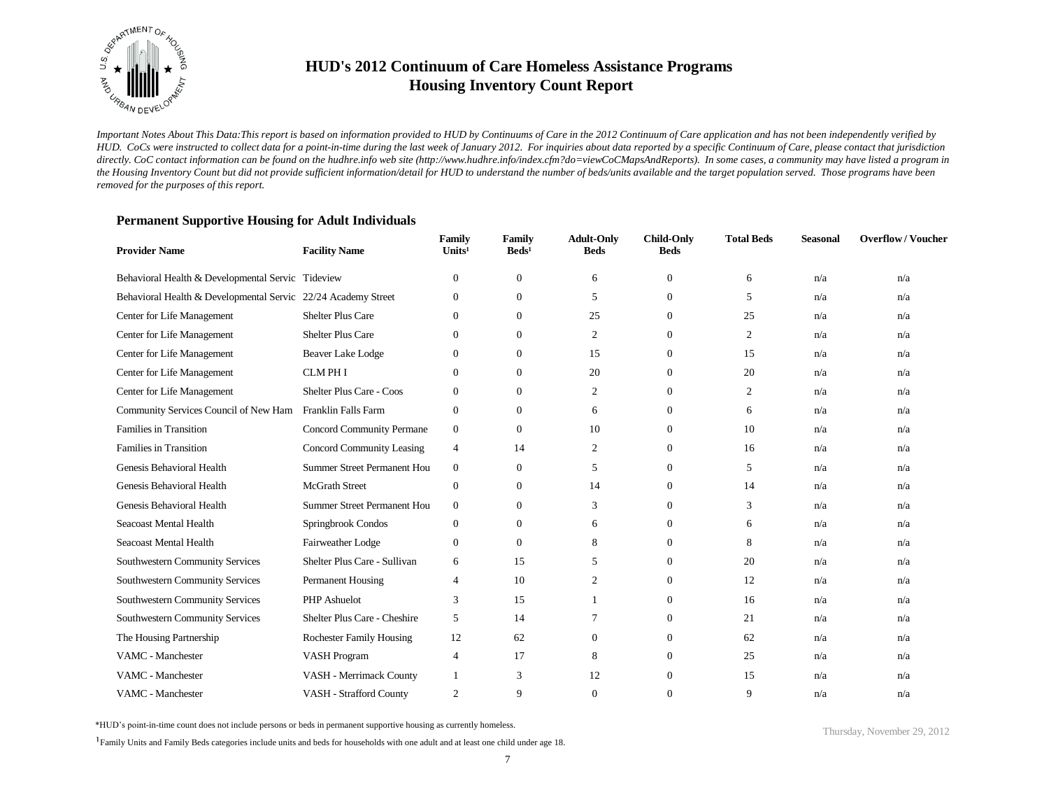

*Important Notes About This Data:This report is based on information provided to HUD by Continuums of Care in the 2012 Continuum of Care application and has not been independently verified by HUD. CoCs were instructed to collect data for a point-in-time during the last week of January 2012. For inquiries about data reported by a specific Continuum of Care, please contact that jurisdiction*  directly. CoC contact information can be found on the hudhre.info web site (http://www.hudhre.info/index.cfm?do=viewCoCMapsAndReports). In some cases, a community may have listed a program in *the Housing Inventory Count but did not provide sufficient information/detail for HUD to understand the number of beds/units available and the target population served. Those programs have been removed for the purposes of this report.*

| <b>Provider Name</b>                                          | <b>Facility Name</b>             | Family<br>Units <sup>1</sup> | Family<br>$\text{Beds}^1$ | <b>Adult-Only</b><br><b>Beds</b> | <b>Child-Only</b><br><b>Beds</b> | <b>Total Beds</b> | <b>Seasonal</b> | <b>Overflow/Voucher</b> |
|---------------------------------------------------------------|----------------------------------|------------------------------|---------------------------|----------------------------------|----------------------------------|-------------------|-----------------|-------------------------|
| Behavioral Health & Developmental Servic Tideview             |                                  | $\Omega$                     | $\mathbf{0}$              | 6                                | $\mathbf{0}$                     | 6                 | n/a             | n/a                     |
| Behavioral Health & Developmental Servic 22/24 Academy Street |                                  | $\mathbf{0}$                 | $\boldsymbol{0}$          | 5                                | $\overline{0}$                   | 5                 | n/a             | n/a                     |
| Center for Life Management                                    | <b>Shelter Plus Care</b>         | $\Omega$                     | $\mathbf{0}$              | 25                               | $\Omega$                         | 25                | n/a             | n/a                     |
| Center for Life Management                                    | <b>Shelter Plus Care</b>         | $\Omega$                     | $\mathbf{0}$              | 2                                | $\Omega$                         | 2                 | n/a             | n/a                     |
| Center for Life Management                                    | <b>Beaver Lake Lodge</b>         | $\theta$                     | $\mathbf{0}$              | 15                               | $\Omega$                         | 15                | n/a             | n/a                     |
| Center for Life Management                                    | <b>CLMPHI</b>                    | $\theta$                     | $\mathbf{0}$              | 20                               | $\overline{0}$                   | 20                | n/a             | n/a                     |
| Center for Life Management                                    | Shelter Plus Care - Coos         | $\Omega$                     | $\mathbf{0}$              | 2                                | $\Omega$                         | $\overline{c}$    | n/a             | n/a                     |
| Community Services Council of New Ham                         | <b>Franklin Falls Farm</b>       | $\theta$                     | $\mathbf{0}$              | 6                                | $\overline{0}$                   | 6                 | n/a             | n/a                     |
| Families in Transition                                        | <b>Concord Community Permane</b> | $\boldsymbol{0}$             | $\mathbf{0}$              | 10                               | $\theta$                         | 10                | n/a             | n/a                     |
| Families in Transition                                        | Concord Community Leasing        | $\overline{4}$               | 14                        | 2                                | $\overline{0}$                   | 16                | n/a             | n/a                     |
| Genesis Behavioral Health                                     | Summer Street Permanent Hou      | $\boldsymbol{0}$             | $\mathbf{0}$              | 5                                | $\overline{0}$                   | 5                 | n/a             | n/a                     |
| Genesis Behavioral Health                                     | <b>McGrath Street</b>            | $\mathbf{0}$                 | $\mathbf{0}$              | 14                               | $\overline{0}$                   | 14                | n/a             | n/a                     |
| Genesis Behavioral Health                                     | Summer Street Permanent Hou      | $\mathbf{0}$                 | $\mathbf{0}$              | 3                                | $\overline{0}$                   | 3                 | n/a             | n/a                     |
| Seacoast Mental Health                                        | Springbrook Condos               | $\theta$                     | $\mathbf{0}$              | 6                                | $\Omega$                         | 6                 | n/a             | n/a                     |
| Seacoast Mental Health                                        | Fairweather Lodge                | $\mathbf{0}$                 | $\mathbf{0}$              | 8                                | $\overline{0}$                   | 8                 | n/a             | n/a                     |
| Southwestern Community Services                               | Shelter Plus Care - Sullivan     | 6                            | 15                        | 5                                | $\Omega$                         | 20                | n/a             | n/a                     |
| Southwestern Community Services                               | Permanent Housing                | $\overline{4}$               | 10                        | $\overline{c}$                   | $\overline{0}$                   | 12                | n/a             | n/a                     |
| Southwestern Community Services                               | <b>PHP</b> Ashuelot              | 3                            | 15                        |                                  | $\overline{0}$                   | 16                | n/a             | n/a                     |
| Southwestern Community Services                               | Shelter Plus Care - Cheshire     | 5                            | 14                        | 7                                | $\overline{0}$                   | 21                | n/a             | n/a                     |
| The Housing Partnership                                       | <b>Rochester Family Housing</b>  | 12                           | 62                        | $\mathbf{0}$                     | $\overline{0}$                   | 62                | n/a             | n/a                     |
| VAMC - Manchester                                             | <b>VASH Program</b>              | $\overline{4}$               | 17                        | 8                                | $\overline{0}$                   | 25                | n/a             | n/a                     |
| VAMC - Manchester                                             | VASH - Merrimack County          |                              | 3                         | 12                               | $\overline{0}$                   | 15                | n/a             | n/a                     |
| VAMC - Manchester                                             | <b>VASH - Strafford County</b>   | 2                            | 9                         | 0                                | $\Omega$                         | 9                 | n/a             | n/a                     |

\*HUD's point-in-time count does not include persons or beds in permanent supportive housing as currently homeless.